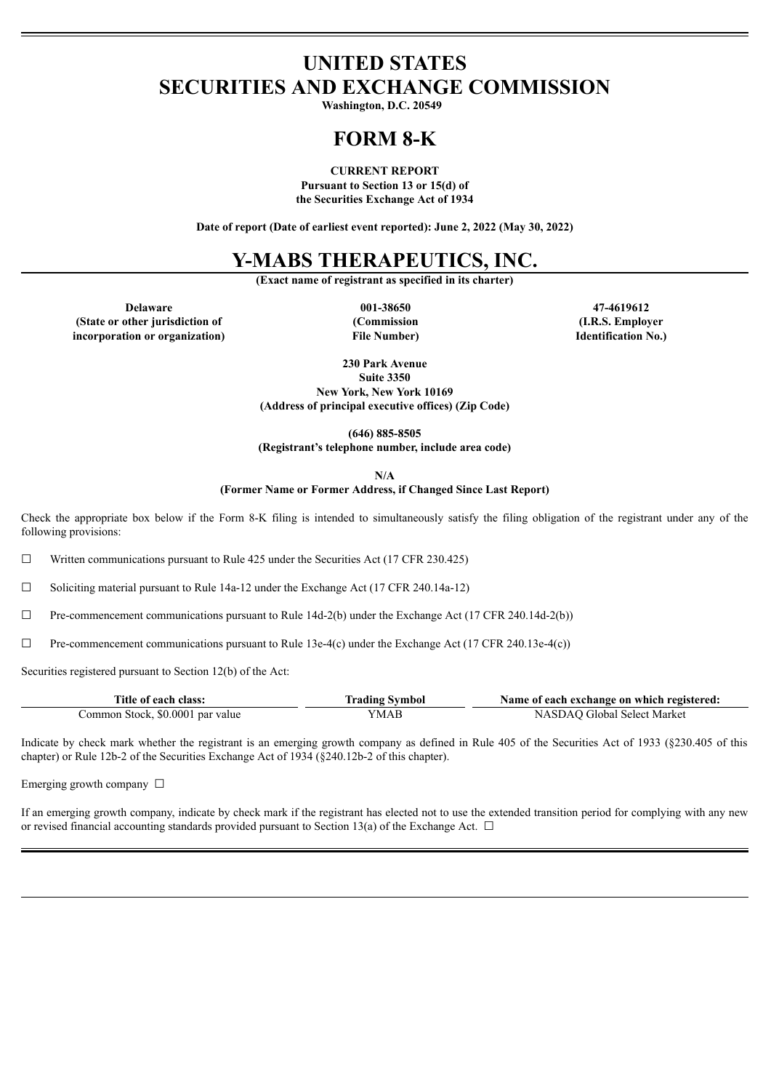# **UNITED STATES SECURITIES AND EXCHANGE COMMISSION**

**Washington, D.C. 20549**

# **FORM 8-K**

### **CURRENT REPORT**

**Pursuant to Section 13 or 15(d) of the Securities Exchange Act of 1934**

**Date of report (Date of earliest event reported): June 2, 2022 (May 30, 2022)**

## **Y-MABS THERAPEUTICS, INC.**

**(Exact name of registrant as specified in its charter)**

**Delaware 001-38650 47-4619612 (State or other jurisdiction of incorporation or organization)**

**(Commission File Number)**

**(I.R.S. Employer Identification No.)**

**230 Park Avenue Suite 3350 New York, New York 10169 (Address of principal executive offices) (Zip Code)**

**(646) 885-8505 (Registrant's telephone number, include area code)**

**N/A**

**(Former Name or Former Address, if Changed Since Last Report)**

Check the appropriate box below if the Form 8-K filing is intended to simultaneously satisfy the filing obligation of the registrant under any of the following provisions:

 $\Box$  Written communications pursuant to Rule 425 under the Securities Act (17 CFR 230.425)

☐ Soliciting material pursuant to Rule 14a-12 under the Exchange Act (17 CFR 240.14a-12)

☐ Pre-commencement communications pursuant to Rule 14d-2(b) under the Exchange Act (17 CFR 240.14d-2(b))

 $\Box$  Pre-commencement communications pursuant to Rule 13e-4(c) under the Exchange Act (17 CFR 240.13e-4(c))

Securities registered pursuant to Section 12(b) of the Act:

| Title of each class:             | Trading Symbol | Name of each exchange on which registered: |
|----------------------------------|----------------|--------------------------------------------|
| Common Stock, \$0.0001 par value | YMAB           | NASDAO Global Select Market                |

Indicate by check mark whether the registrant is an emerging growth company as defined in Rule 405 of the Securities Act of 1933 (§230.405 of this chapter) or Rule 12b-2 of the Securities Exchange Act of 1934 (§240.12b-2 of this chapter).

Emerging growth company  $\Box$ 

If an emerging growth company, indicate by check mark if the registrant has elected not to use the extended transition period for complying with any new or revised financial accounting standards provided pursuant to Section 13(a) of the Exchange Act.  $\Box$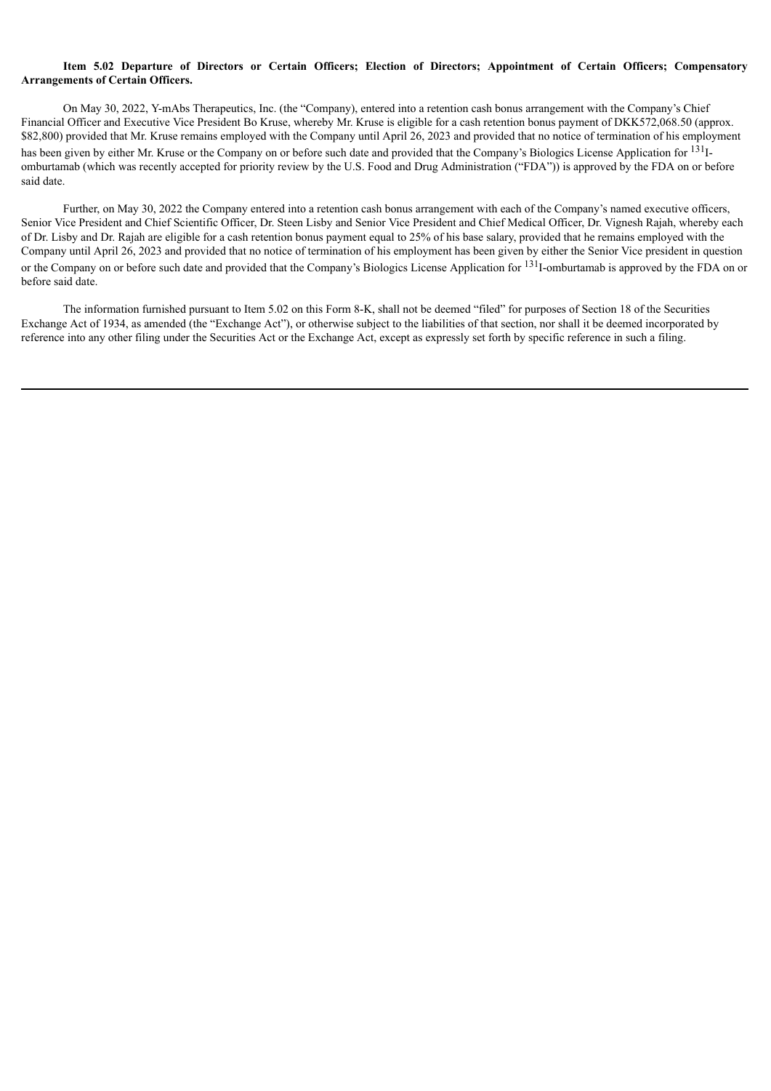### Item 5.02 Departure of Directors or Certain Officers: Election of Directors: Appointment of Certain Officers: Compensatory **Arrangements of Certain Officers.**

On May 30, 2022, Y-mAbs Therapeutics, Inc. (the "Company), entered into a retention cash bonus arrangement with the Company's Chief Financial Officer and Executive Vice President Bo Kruse, whereby Mr. Kruse is eligible for a cash retention bonus payment of DKK572,068.50 (approx. \$82,800) provided that Mr. Kruse remains employed with the Company until April 26, 2023 and provided that no notice of termination of his employment has been given by either Mr. Kruse or the Company on or before such date and provided that the Company's Biologics License Application for <sup>131</sup>Iomburtamab (which was recently accepted for priority review by the U.S. Food and Drug Administration ("FDA")) is approved by the FDA on or before said date.

Further, on May 30, 2022 the Company entered into a retention cash bonus arrangement with each of the Company's named executive officers, Senior Vice President and Chief Scientific Officer, Dr. Steen Lisby and Senior Vice President and Chief Medical Officer, Dr. Vignesh Rajah, whereby each of Dr. Lisby and Dr. Rajah are eligible for a cash retention bonus payment equal to 25% of his base salary, provided that he remains employed with the Company until April 26, 2023 and provided that no notice of termination of his employment has been given by either the Senior Vice president in question or the Company on or before such date and provided that the Company's Biologics License Application for <sup>131</sup>I-omburtamab is approved by the FDA on or before said date.

The information furnished pursuant to Item 5.02 on this Form 8-K, shall not be deemed "filed" for purposes of Section 18 of the Securities Exchange Act of 1934, as amended (the "Exchange Act"), or otherwise subject to the liabilities of that section, nor shall it be deemed incorporated by reference into any other filing under the Securities Act or the Exchange Act, except as expressly set forth by specific reference in such a filing.